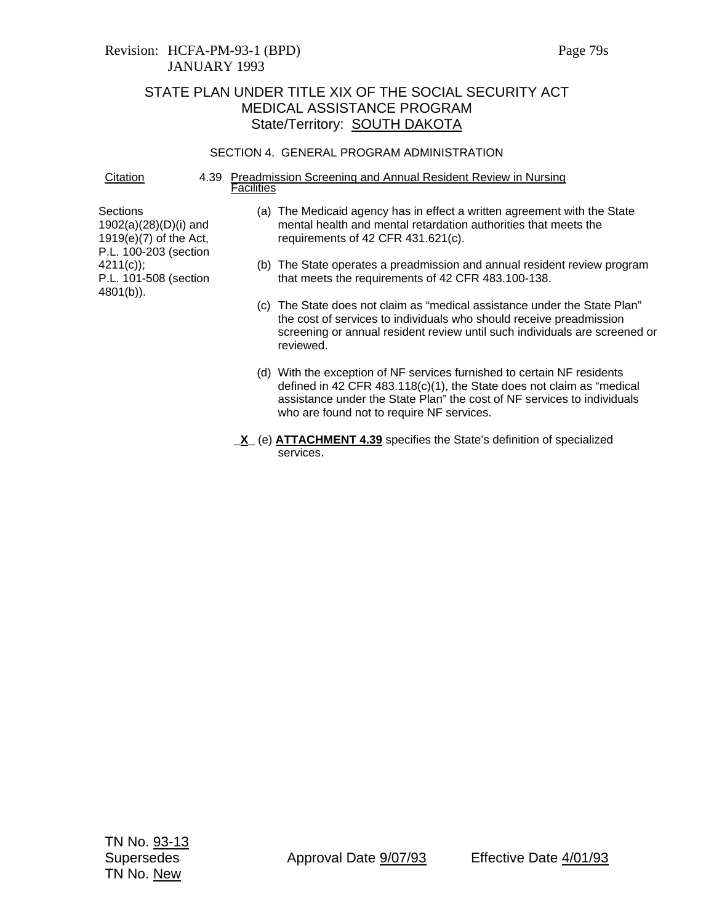## Revision: HCFA-PM-93-1 (BPD) Page 79s JANUARY 1993

# STATE PLAN UNDER TITLE XIX OF THE SOCIAL SECURITY ACT MEDICAL ASSISTANCE PROGRAM State/Territory: **SOUTH DAKOTA**

#### SECTION 4. GENERAL PROGRAM ADMINISTRATION

Citation 4.39 Preadmission Screening and Annual Resident Review in Nursing **Facilities** 

**Sections** 1902(a)(28)(D)(i) and 1919(e)(7) of the Act, P.L. 100-203 (section 4211(c)); P.L. 101-508 (section 4801(b)).

- (a) The Medicaid agency has in effect a written agreement with the State mental health and mental retardation authorities that meets the requirements of 42 CFR 431.621(c).
- (b) The State operates a preadmission and annual resident review program that meets the requirements of 42 CFR 483.100-138.
- (c) The State does not claim as "medical assistance under the State Plan" the cost of services to individuals who should receive preadmission screening or annual resident review until such individuals are screened or reviewed.
- (d) With the exception of NF services furnished to certain NF residents defined in 42 CFR 483.118(c)(1), the State does not claim as "medical assistance under the State Plan" the cost of NF services to individuals who are found not to require NF services.
- **\_X\_** (e) **ATTACHMENT 4.39** specifies the State's definition of specialized services.